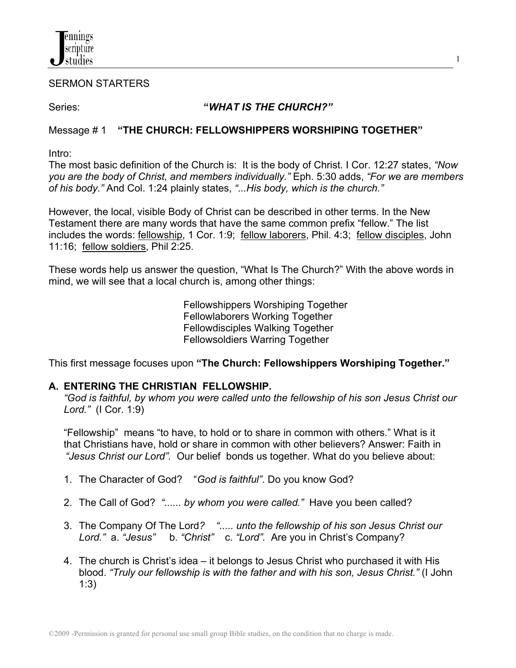

#### SERMON STARTERS

### Series: **"***WHAT IS THE CHURCH?"*

1

### Message # 1 **"THE CHURCH: FELLOWSHIPPERS WORSHIPING TOGETHER"**

Intro:

The most basic definition of the Church is: It is the body of Christ. I Cor. 12:27 states, *"Now you are the body of Christ, and members individually."* Eph. 5:30 adds, *"For we are members of his body."* And Col. 1:24 plainly states, *"...His body, which is the church."*

However, the local, visible Body of Christ can be described in other terms. In the New Testament there are many words that have the same common prefix "fellow." The list includes the words: fellowship, 1 Cor. 1:9; fellow laborers, Phil. 4:3; fellow disciples, John 11:16; fellow soldiers, Phil 2:25.

These words help us answer the question, "What Is The Church?" With the above words in mind, we will see that a local church is, among other things:

> Fellowshippers Worshiping Together Fellowlaborers Working Together Fellowdisciples Walking Together Fellowsoldiers Warring Together

This first message focuses upon **"The Church: Fellowshippers Worshiping Together."**

# **A. ENTERING THE CHRISTIAN FELLOWSHIP.**

*"God is faithful, by whom you were called unto the fellowship of his son Jesus Christ our Lord."* (I Cor. 1:9)

"Fellowship" means "to have, to hold or to share in common with others." What is it that Christians have, hold or share in common with other believers? Answer: Faith in *"Jesus Christ our Lord".* Our belief bonds us together. What do you believe about:

- 1. The Character of God? "*God is faithful"*. Do you know God?
- 2. The Call of God? *"...... by whom you were called."* Have you been called?
- 3. The Company Of The Lord*? "..... unto the fellowship of his son Jesus Christ our Lord."* a. *"Jesus"* b. *"Christ"* c. *"Lord".* Are you in Christ's Company?
- 4. The church is Christ's idea it belongs to Jesus Christ who purchased it with His blood. *"Truly our fellowship is with the father and with his son, Jesus Christ."* (I John 1:3)